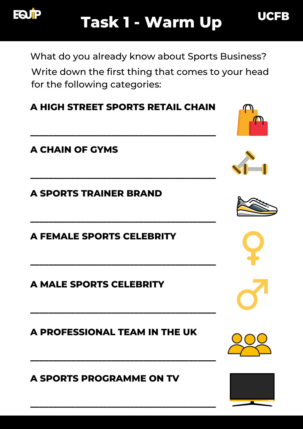

What do you already know about Sports Business?

Write down the first thing that comes to your head for the following categories:

## **A HIGH STREET SPORTS RETAIL CHAIN**

**\_\_\_\_\_\_\_\_\_\_\_\_\_\_\_\_\_\_\_\_\_\_\_\_\_\_\_\_\_\_\_\_\_\_\_\_\_\_\_\_\_**

**\_\_\_\_\_\_\_\_\_\_\_\_\_\_\_\_\_\_\_\_\_\_\_\_\_\_\_\_\_\_\_\_\_\_\_\_\_\_\_\_\_**

**\_\_\_\_\_\_\_\_\_\_\_\_\_\_\_\_\_\_\_\_\_\_\_\_\_\_\_\_\_\_\_\_\_\_\_\_\_\_\_\_\_**

**\_\_\_\_\_\_\_\_\_\_\_\_\_\_\_\_\_\_\_\_\_\_\_\_\_\_\_\_\_\_\_\_\_\_\_\_\_\_\_\_\_**

**\_\_\_\_\_\_\_\_\_\_\_\_\_\_\_\_\_\_\_\_\_\_\_\_\_\_\_\_\_\_\_\_\_\_\_\_\_\_\_\_\_**

**\_\_\_\_\_\_\_\_\_\_\_\_\_\_\_\_\_\_\_\_\_\_\_\_\_\_\_\_\_\_\_\_\_\_\_\_\_\_\_\_\_**

**\_\_\_\_\_\_\_\_\_\_\_\_\_\_\_\_\_\_\_\_\_\_\_\_\_\_\_\_\_\_\_\_\_\_\_\_\_\_\_\_\_**

### **A CHAIN OF GYMS**

**A SPORTS TRAINER BRAND**

**A FEMALE SPORTS CELEBRITY**

**A MALE SPORTS CELEBRITY**

**A PROFESSIONAL TEAM IN THE UK**









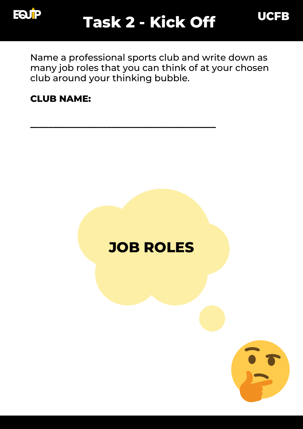

Name a professional sports club and write down as many job roles that you can think of at your chosen club around your thinking bubble.

**\_\_\_\_\_\_\_\_\_\_\_\_\_\_\_\_\_\_\_\_\_\_\_\_\_\_\_\_\_\_\_\_\_\_\_\_\_\_\_\_\_**

#### **CLUB NAME:**

# **JOB ROLES**



**UCFB**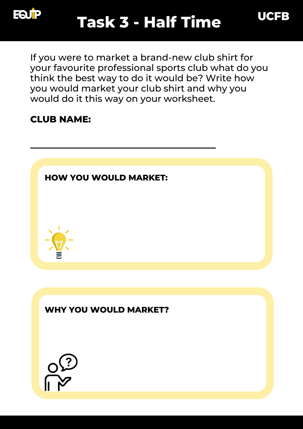

**UCFB** 



### **CLUB NAME:**



**WHY YOU WOULD MARKET?**